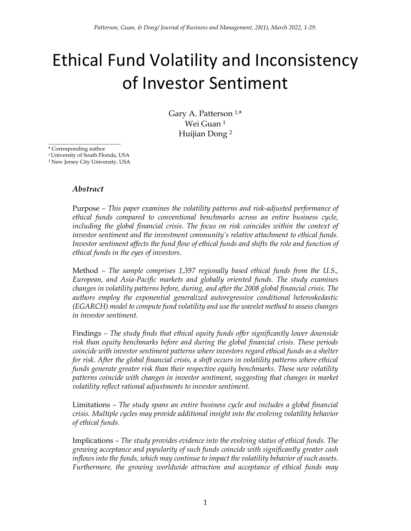# Ethical Fund Volatility and Inconsistency of Investor Sentiment

Gary A. Patterson  $1,*$ Wei Guan <sup>1</sup> Huijian Dong <sup>2</sup>

\* Corresponding author

<sup>1</sup> University of South Florida, USA

\_\_\_\_\_\_\_\_\_\_\_\_\_\_\_\_\_\_\_\_\_\_\_\_\_\_\_

<sup>2</sup> New Jersey City University, USA

#### *Abstract*

Purpose *– This paper examines the volatility patterns and risk-adjusted performance of ethical funds compared to conventional benchmarks across an entire business cycle, including the global financial crisis. The focus on risk coincides within the context of investor sentiment and the investment community's relative attachment to ethical funds. Investor sentiment affects the fund flow of ethical funds and shifts the role and function of ethical funds in the eyes of investors.*

Method *– The sample comprises 1,397 regionally based ethical funds from the U.S., European, and Asia-Pacific markets and globally oriented funds. The study examines changes in volatility patterns before, during, and after the 2008 global financial crisis. The authors employ the exponential generalized autoregressive conditional heteroskedastic (EGARCH) model to compute fund volatility and use the wavelet method to assess changes in investor sentiment.*

Findings *– The study finds that ethical equity funds offer significantly lower downside risk than equity benchmarks before and during the global financial crisis. These periods coincide with investor sentiment patterns where investors regard ethical funds as a shelter for risk. After the global financial crisis, a shift occurs in volatility patterns where ethical funds generate greater risk than their respective equity benchmarks. These new volatility patterns coincide with changes in investor sentiment, suggesting that changes in market volatility reflect rational adjustments to investor sentiment.* 

Limitations *– The study spans an entire business cycle and includes a global financial crisis. Multiple cycles may provide additional insight into the evolving volatility behavior of ethical funds.*

Implications *– The study provides evidence into the evolving status of ethical funds. The growing acceptance and popularity of such funds coincide with significantly greater cash inflows into the funds, which may continue to impact the volatility behavior of such assets.*  Furthermore, the growing worldwide attraction and acceptance of ethical funds may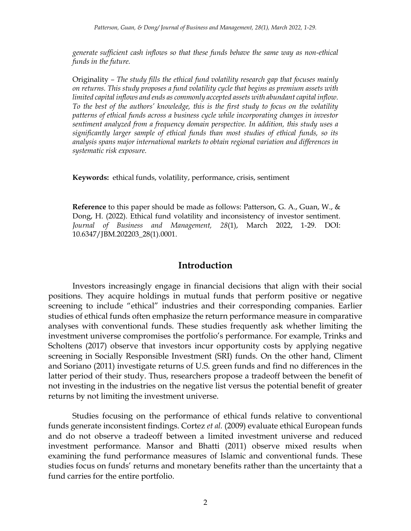*generate sufficient cash inflows so that these funds behave the same way as non-ethical funds in the future.*

Originality *– The study fills the ethical fund volatility research gap that focuses mainly on returns. This study proposes a fund volatility cycle that begins as premium assets with limited capital inflows and ends as commonly accepted assets with abundant capital inflow. To the best of the authors' knowledge, this is the first study to focus on the volatility patterns of ethical funds across a business cycle while incorporating changes in investor sentiment analyzed from a frequency domain perspective. In addition, this study uses a significantly larger sample of ethical funds than most studies of ethical funds, so its analysis spans major international markets to obtain regional variation and differences in systematic risk exposure.*

**Keywords:** ethical funds, volatility, performance, crisis, sentiment

**Reference** to this paper should be made as follows: Patterson, G. A., Guan, W., & Dong, H. (2022). Ethical fund volatility and inconsistency of investor sentiment. *Journal of Business and Management, 28*(1), March 2022, 1-29. DOI: 10.6347/JBM.202203\_28(1).0001.

#### **Introduction**

Investors increasingly engage in financial decisions that align with their social positions. They acquire holdings in mutual funds that perform positive or negative screening to include "ethical" industries and their corresponding companies. Earlier studies of ethical funds often emphasize the return performance measure in comparative analyses with conventional funds. These studies frequently ask whether limiting the investment universe compromises the portfolio's performance. For example, Trinks and Scholtens (2017) observe that investors incur opportunity costs by applying negative screening in Socially Responsible Investment (SRI) funds. On the other hand, Climent and Soriano (2011) investigate returns of U.S. green funds and find no differences in the latter period of their study. Thus, researchers propose a tradeoff between the benefit of not investing in the industries on the negative list versus the potential benefit of greater returns by not limiting the investment universe.

Studies focusing on the performance of ethical funds relative to conventional funds generate inconsistent findings. Cortez *et al.* (2009) evaluate ethical European funds and do not observe a tradeoff between a limited investment universe and reduced investment performance. Mansor and Bhatti (2011) observe mixed results when examining the fund performance measures of Islamic and conventional funds. These studies focus on funds' returns and monetary benefits rather than the uncertainty that a fund carries for the entire portfolio.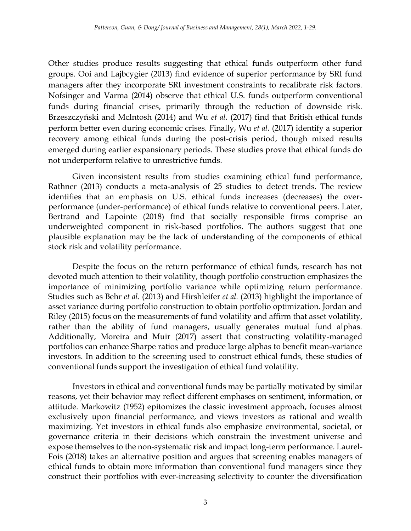Other studies produce results suggesting that ethical funds outperform other fund groups. Ooi and Lajbcygier (2013) find evidence of superior performance by SRI fund managers after they incorporate SRI investment constraints to recalibrate risk factors. Nofsinger and Varma (2014) observe that ethical U.S. funds outperform conventional funds during financial crises, primarily through the reduction of downside risk. Brzeszczyński and McIntosh (2014) and Wu *et al.* (2017) find that British ethical funds perform better even during economic crises. Finally, Wu *et al.* (2017) identify a superior recovery among ethical funds during the post-crisis period, though mixed results emerged during earlier expansionary periods. These studies prove that ethical funds do not underperform relative to unrestrictive funds.

Given inconsistent results from studies examining ethical fund performance, Rathner (2013) conducts a meta-analysis of 25 studies to detect trends. The review identifies that an emphasis on U.S. ethical funds increases (decreases) the overperformance (under-performance) of ethical funds relative to conventional peers. Later, Bertrand and Lapointe (2018) find that socially responsible firms comprise an underweighted component in risk-based portfolios. The authors suggest that one plausible explanation may be the lack of understanding of the components of ethical stock risk and volatility performance.

Despite the focus on the return performance of ethical funds, research has not devoted much attention to their volatility, though portfolio construction emphasizes the importance of minimizing portfolio variance while optimizing return performance. Studies such as Behr *et al.* (2013) and Hirshleifer *et al.* (2013) highlight the importance of asset variance during portfolio construction to obtain portfolio optimization. Jordan and Riley (2015) focus on the measurements of fund volatility and affirm that asset volatility, rather than the ability of fund managers, usually generates mutual fund alphas. Additionally, Moreira and Muir (2017) assert that constructing volatility-managed portfolios can enhance Sharpe ratios and produce large alphas to benefit mean-variance investors. In addition to the screening used to construct ethical funds, these studies of conventional funds support the investigation of ethical fund volatility.

Investors in ethical and conventional funds may be partially motivated by similar reasons, yet their behavior may reflect different emphases on sentiment, information, or attitude. Markowitz (1952) epitomizes the classic investment approach, focuses almost exclusively upon financial performance, and views investors as rational and wealth maximizing. Yet investors in ethical funds also emphasize environmental, societal, or governance criteria in their decisions which constrain the investment universe and expose themselves to the non-systematic risk and impact long-term performance. Laurel-Fois (2018) takes an alternative position and argues that screening enables managers of ethical funds to obtain more information than conventional fund managers since they construct their portfolios with ever-increasing selectivity to counter the diversification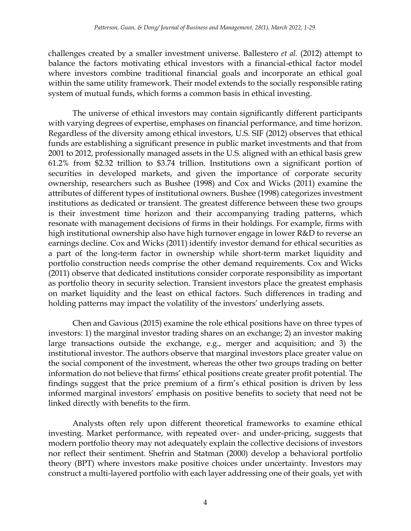challenges created by a smaller investment universe. Ballestero *et al.* (2012) attempt to balance the factors motivating ethical investors with a financial-ethical factor model where investors combine traditional financial goals and incorporate an ethical goal within the same utility framework. Their model extends to the socially responsible rating system of mutual funds, which forms a common basis in ethical investing.

The universe of ethical investors may contain significantly different participants with varying degrees of expertise, emphases on financial performance, and time horizon. Regardless of the diversity among ethical investors, U.S. SIF (2012) observes that ethical funds are establishing a significant presence in public market investments and that from 2001 to 2012, professionally managed assets in the U.S. aligned with an ethical basis grew 61.2% from \$2.32 trillion to \$3.74 trillion. Institutions own a significant portion of securities in developed markets, and given the importance of corporate security ownership, researchers such as Bushee (1998) and Cox and Wicks (2011) examine the attributes of different types of institutional owners. Bushee (1998) categorizes investment institutions as dedicated or transient. The greatest difference between these two groups is their investment time horizon and their accompanying trading patterns, which resonate with management decisions of firms in their holdings. For example, firms with high institutional ownership also have high turnover engage in lower R&D to reverse an earnings decline. Cox and Wicks (2011) identify investor demand for ethical securities as a part of the long-term factor in ownership while short-term market liquidity and portfolio construction needs comprise the other demand requirements. Cox and Wicks (2011) observe that dedicated institutions consider corporate responsibility as important as portfolio theory in security selection. Transient investors place the greatest emphasis on market liquidity and the least on ethical factors. Such differences in trading and holding patterns may impact the volatility of the investors' underlying assets.

Chen and Gavious (2015) examine the role ethical positions have on three types of investors: 1) the marginal investor trading shares on an exchange; 2) an investor making large transactions outside the exchange, e.g., merger and acquisition; and 3) the institutional investor. The authors observe that marginal investors place greater value on the social component of the investment, whereas the other two groups trading on better information do not believe that firms' ethical positions create greater profit potential. The findings suggest that the price premium of a firm's ethical position is driven by less informed marginal investors' emphasis on positive benefits to society that need not be linked directly with benefits to the firm.

Analysts often rely upon different theoretical frameworks to examine ethical investing. Market performance, with repeated over- and under-pricing, suggests that modern portfolio theory may not adequately explain the collective decisions of investors nor reflect their sentiment. Shefrin and Statman (2000) develop a behavioral portfolio theory (BPT) where investors make positive choices under uncertainty. Investors may construct a multi-layered portfolio with each layer addressing one of their goals, yet with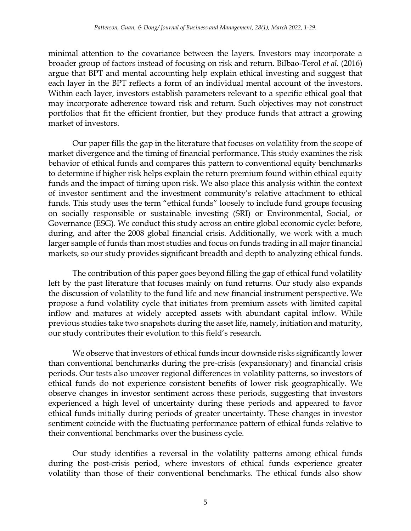minimal attention to the covariance between the layers. Investors may incorporate a broader group of factors instead of focusing on risk and return. Bilbao-Terol *et al.* (2016) argue that BPT and mental accounting help explain ethical investing and suggest that each layer in the BPT reflects a form of an individual mental account of the investors. Within each layer, investors establish parameters relevant to a specific ethical goal that may incorporate adherence toward risk and return. Such objectives may not construct portfolios that fit the efficient frontier, but they produce funds that attract a growing market of investors.

Our paper fills the gap in the literature that focuses on volatility from the scope of market divergence and the timing of financial performance. This study examines the risk behavior of ethical funds and compares this pattern to conventional equity benchmarks to determine if higher risk helps explain the return premium found within ethical equity funds and the impact of timing upon risk. We also place this analysis within the context of investor sentiment and the investment community's relative attachment to ethical funds. This study uses the term "ethical funds" loosely to include fund groups focusing on socially responsible or sustainable investing (SRI) or Environmental, Social, or Governance (ESG). We conduct this study across an entire global economic cycle: before, during, and after the 2008 global financial crisis. Additionally, we work with a much larger sample of funds than most studies and focus on funds trading in all major financial markets, so our study provides significant breadth and depth to analyzing ethical funds.

The contribution of this paper goes beyond filling the gap of ethical fund volatility left by the past literature that focuses mainly on fund returns. Our study also expands the discussion of volatility to the fund life and new financial instrument perspective. We propose a fund volatility cycle that initiates from premium assets with limited capital inflow and matures at widely accepted assets with abundant capital inflow. While previous studies take two snapshots during the asset life, namely, initiation and maturity, our study contributes their evolution to this field's research.

We observe that investors of ethical funds incur downside risks significantly lower than conventional benchmarks during the pre-crisis (expansionary) and financial crisis periods. Our tests also uncover regional differences in volatility patterns, so investors of ethical funds do not experience consistent benefits of lower risk geographically. We observe changes in investor sentiment across these periods, suggesting that investors experienced a high level of uncertainty during these periods and appeared to favor ethical funds initially during periods of greater uncertainty. These changes in investor sentiment coincide with the fluctuating performance pattern of ethical funds relative to their conventional benchmarks over the business cycle.

Our study identifies a reversal in the volatility patterns among ethical funds during the post-crisis period, where investors of ethical funds experience greater volatility than those of their conventional benchmarks. The ethical funds also show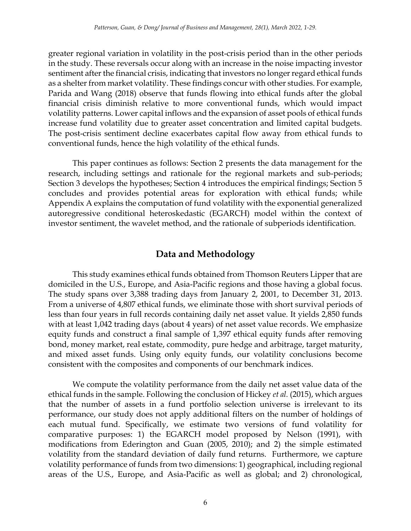greater regional variation in volatility in the post-crisis period than in the other periods in the study. These reversals occur along with an increase in the noise impacting investor sentiment after the financial crisis, indicating that investors no longer regard ethical funds as a shelter from market volatility. These findings concur with other studies. For example, Parida and Wang (2018) observe that funds flowing into ethical funds after the global financial crisis diminish relative to more conventional funds, which would impact volatility patterns. Lower capital inflows and the expansion of asset pools of ethical funds increase fund volatility due to greater asset concentration and limited capital budgets. The post-crisis sentiment decline exacerbates capital flow away from ethical funds to conventional funds, hence the high volatility of the ethical funds.

This paper continues as follows: Section 2 presents the data management for the research, including settings and rationale for the regional markets and sub-periods; Section 3 develops the hypotheses; Section 4 introduces the empirical findings; Section 5 concludes and provides potential areas for exploration with ethical funds; while Appendix A explains the computation of fund volatility with the exponential generalized autoregressive conditional heteroskedastic (EGARCH) model within the context of investor sentiment, the wavelet method, and the rationale of subperiods identification.

# **Data and Methodology**

This study examines ethical funds obtained from Thomson Reuters Lipper that are domiciled in the U.S., Europe, and Asia-Pacific regions and those having a global focus. The study spans over 3,388 trading days from January 2, 2001, to December 31, 2013. From a universe of 4,807 ethical funds, we eliminate those with short survival periods of less than four years in full records containing daily net asset value. It yields 2,850 funds with at least 1,042 trading days (about 4 years) of net asset value records. We emphasize equity funds and construct a final sample of 1,397 ethical equity funds after removing bond, money market, real estate, commodity, pure hedge and arbitrage, target maturity, and mixed asset funds. Using only equity funds, our volatility conclusions become consistent with the composites and components of our benchmark indices.

We compute the volatility performance from the daily net asset value data of the ethical funds in the sample. Following the conclusion of Hickey *et al.* (2015), which argues that the number of assets in a fund portfolio selection universe is irrelevant to its performance, our study does not apply additional filters on the number of holdings of each mutual fund. Specifically, we estimate two versions of fund volatility for comparative purposes: 1) the EGARCH model proposed by Nelson (1991), with modifications from Ederington and Guan (2005, 2010); and 2) the simple estimated volatility from the standard deviation of daily fund returns. Furthermore, we capture volatility performance of funds from two dimensions: 1) geographical, including regional areas of the U.S., Europe, and Asia-Pacific as well as global; and 2) chronological,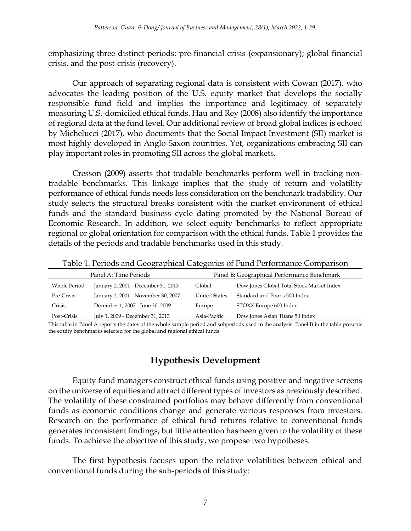emphasizing three distinct periods: pre-financial crisis (expansionary); global financial crisis, and the post-crisis (recovery).

Our approach of separating regional data is consistent with Cowan (2017), who advocates the leading position of the U.S. equity market that develops the socially responsible fund field and implies the importance and legitimacy of separately measuring U.S.-domiciled ethical funds. Hau and Rey (2008) also identify the importance of regional data at the fund level. Our additional review of broad global indices is echoed by Michelucci (2017), who documents that the Social Impact Investment (SII) market is most highly developed in Anglo-Saxon countries. Yet, organizations embracing SII can play important roles in promoting SII across the global markets.

Cresson (2009) asserts that tradable benchmarks perform well in tracking nontradable benchmarks. This linkage implies that the study of return and volatility performance of ethical funds needs less consideration on the benchmark tradability. Our study selects the structural breaks consistent with the market environment of ethical funds and the standard business cycle dating promoted by the National Bureau of Economic Research. In addition, we select equity benchmarks to reflect appropriate regional or global orientation for comparison with the ethical funds. Table 1 provides the details of the periods and tradable benchmarks used in this study.

| Panel A: Time Periods |                                     | Panel B: Geographical Performance Benchmark |                                           |  |
|-----------------------|-------------------------------------|---------------------------------------------|-------------------------------------------|--|
| <b>Whole Period</b>   | January 2, 2001 - December 31, 2013 | Global                                      | Dow Jones Global Total Stock Market Index |  |
| Pre-Crisis            | January 2, 2001 - November 30, 2007 | <b>United States</b>                        | Standard and Poor's 500 Index             |  |
| Crisis                | December 1, 2007 - June 30, 2009    | Europe                                      | STOXX Europe 600 Index                    |  |
| Post-Crisis           | July 1, 2009 - December 31, 2013    | Asia-Pacific                                | Dow Jones Asian Titans 50 Index           |  |

Table 1. Periods and Geographical Categories of Fund Performance Comparison

This table in Panel A reports the dates of the whole sample period and subperiods used in the analysis. Panel B in the table presents the equity benchmarks selected for the global and regional ethical funds

# **Hypothesis Development**

Equity fund managers construct ethical funds using positive and negative screens on the universe of equities and attract different types of investors as previously described. The volatility of these constrained portfolios may behave differently from conventional funds as economic conditions change and generate various responses from investors. Research on the performance of ethical fund returns relative to conventional funds generates inconsistent findings, but little attention has been given to the volatility of these funds. To achieve the objective of this study, we propose two hypotheses.

The first hypothesis focuses upon the relative volatilities between ethical and conventional funds during the sub-periods of this study: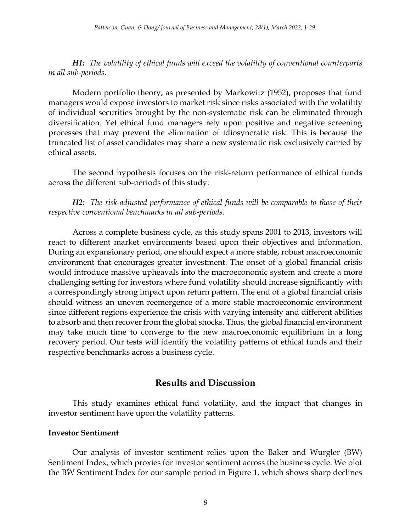*H1: The volatility of ethical funds will exceed the volatility of conventional counterparts in all sub-periods.*

Modern portfolio theory, as presented by Markowitz (1952), proposes that fund managers would expose investors to market risk since risks associated with the volatility of individual securities brought by the non-systematic risk can be eliminated through diversification. Yet ethical fund managers rely upon positive and negative screening processes that may prevent the elimination of idiosyncratic risk. This is because the truncated list of asset candidates may share a new systematic risk exclusively carried by ethical assets.

The second hypothesis focuses on the risk-return performance of ethical funds across the different sub-periods of this study:

*H2: The risk-adjusted performance of ethical funds will be comparable to those of their respective conventional benchmarks in all sub-periods.* 

Across a complete business cycle, as this study spans 2001 to 2013, investors will react to different market environments based upon their objectives and information. During an expansionary period, one should expect a more stable, robust macroeconomic environment that encourages greater investment. The onset of a global financial crisis would introduce massive upheavals into the macroeconomic system and create a more challenging setting for investors where fund volatility should increase significantly with a correspondingly strong impact upon return pattern. The end of a global financial crisis should witness an uneven reemergence of a more stable macroeconomic environment since different regions experience the crisis with varying intensity and different abilities to absorb and then recover from the global shocks. Thus, the global financial environment may take much time to converge to the new macroeconomic equilibrium in a long recovery period. Our tests will identify the volatility patterns of ethical funds and their respective benchmarks across a business cycle.

## **Results and Discussion**

This study examines ethical fund volatility, and the impact that changes in investor sentiment have upon the volatility patterns.

#### **Investor Sentiment**

Our analysis of investor sentiment relies upon the Baker and Wurgler (BW) Sentiment Index, which proxies for investor sentiment across the business cycle. We plot the BW Sentiment Index for our sample period in Figure 1, which shows sharp declines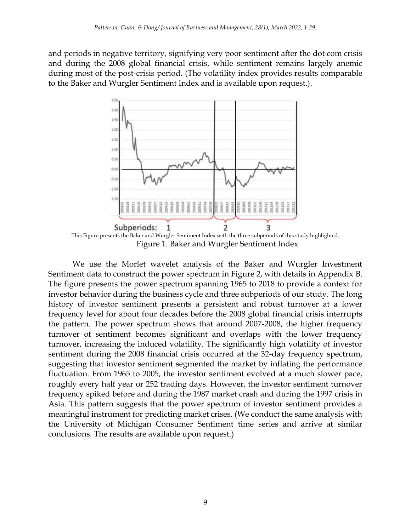and periods in negative territory, signifying very poor sentiment after the dot com crisis and during the 2008 global financial crisis, while sentiment remains largely anemic during most of the post-crisis period. (The volatility index provides results comparable to the Baker and Wurgler Sentiment Index and is available upon request.).



Figure 1. Baker and Wurgler Sentiment Index

We use the Morlet wavelet analysis of the Baker and Wurgler Investment Sentiment data to construct the power spectrum in Figure 2, with details in Appendix B. The figure presents the power spectrum spanning 1965 to 2018 to provide a context for investor behavior during the business cycle and three subperiods of our study. The long history of investor sentiment presents a persistent and robust turnover at a lower frequency level for about four decades before the 2008 global financial crisis interrupts the pattern. The power spectrum shows that around 2007-2008, the higher frequency turnover of sentiment becomes significant and overlaps with the lower frequency turnover, increasing the induced volatility. The significantly high volatility of investor sentiment during the 2008 financial crisis occurred at the 32-day frequency spectrum, suggesting that investor sentiment segmented the market by inflating the performance fluctuation. From 1965 to 2005, the investor sentiment evolved at a much slower pace, roughly every half year or 252 trading days. However, the investor sentiment turnover frequency spiked before and during the 1987 market crash and during the 1997 crisis in Asia. This pattern suggests that the power spectrum of investor sentiment provides a meaningful instrument for predicting market crises. (We conduct the same analysis with the University of Michigan Consumer Sentiment time series and arrive at similar conclusions. The results are available upon request.)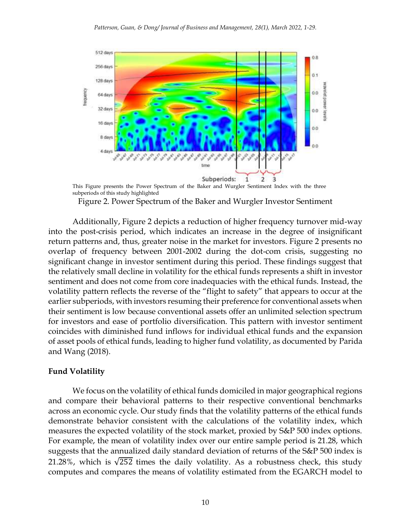

This Figure presents the Power Spectrum of the Baker and Wurgler Sentiment Index with the three subperiods of this study highlighted

Figure 2. Power Spectrum of the Baker and Wurgler Investor Sentiment

Additionally, Figure 2 depicts a reduction of higher frequency turnover mid-way into the post-crisis period, which indicates an increase in the degree of insignificant return patterns and, thus, greater noise in the market for investors. Figure 2 presents no overlap of frequency between 2001-2002 during the dot-com crisis, suggesting no significant change in investor sentiment during this period. These findings suggest that the relatively small decline in volatility for the ethical funds represents a shift in investor sentiment and does not come from core inadequacies with the ethical funds. Instead, the volatility pattern reflects the reverse of the "flight to safety" that appears to occur at the earlier subperiods, with investors resuming their preference for conventional assets when their sentiment is low because conventional assets offer an unlimited selection spectrum for investors and ease of portfolio diversification. This pattern with investor sentiment coincides with diminished fund inflows for individual ethical funds and the expansion of asset pools of ethical funds, leading to higher fund volatility, as documented by Parida and Wang (2018).

#### **Fund Volatility**

We focus on the volatility of ethical funds domiciled in major geographical regions and compare their behavioral patterns to their respective conventional benchmarks across an economic cycle. Our study finds that the volatility patterns of the ethical funds demonstrate behavior consistent with the calculations of the volatility index, which measures the expected volatility of the stock market, proxied by S&P 500 index options. For example, the mean of volatility index over our entire sample period is 21.28, which suggests that the annualized daily standard deviation of returns of the S&P 500 index is 21.28%, which is  $\sqrt{252}$  times the daily volatility. As a robustness check, this study computes and compares the means of volatility estimated from the EGARCH model to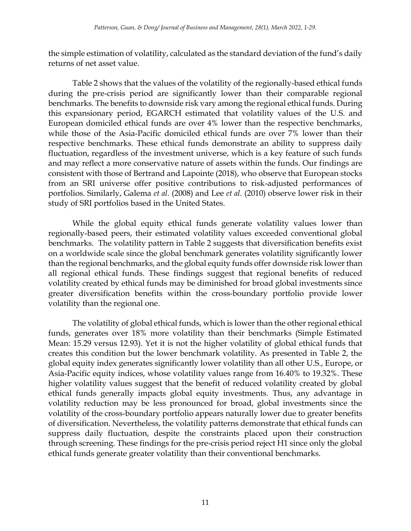the simple estimation of volatility, calculated as the standard deviation of the fund's daily returns of net asset value.

Table 2 shows that the values of the volatility of the regionally-based ethical funds during the pre-crisis period are significantly lower than their comparable regional benchmarks. The benefits to downside risk vary among the regional ethical funds. During this expansionary period, EGARCH estimated that volatility values of the U.S. and European domiciled ethical funds are over 4% lower than the respective benchmarks, while those of the Asia-Pacific domiciled ethical funds are over 7% lower than their respective benchmarks. These ethical funds demonstrate an ability to suppress daily fluctuation, regardless of the investment universe, which is a key feature of such funds and may reflect a more conservative nature of assets within the funds. Our findings are consistent with those of Bertrand and Lapointe (2018), who observe that European stocks from an SRI universe offer positive contributions to risk-adjusted performances of portfolios. Similarly, Galema *et al.* (2008) and Lee *et al.* (2010) observe lower risk in their study of SRI portfolios based in the United States.

While the global equity ethical funds generate volatility values lower than regionally-based peers, their estimated volatility values exceeded conventional global benchmarks. The volatility pattern in Table 2 suggests that diversification benefits exist on a worldwide scale since the global benchmark generates volatility significantly lower than the regional benchmarks, and the global equity funds offer downside risk lower than all regional ethical funds. These findings suggest that regional benefits of reduced volatility created by ethical funds may be diminished for broad global investments since greater diversification benefits within the cross-boundary portfolio provide lower volatility than the regional one.

The volatility of global ethical funds, which is lower than the other regional ethical funds, generates over 18% more volatility than their benchmarks (Simple Estimated Mean: 15.29 versus 12.93). Yet it is not the higher volatility of global ethical funds that creates this condition but the lower benchmark volatility. As presented in Table 2, the global equity index generates significantly lower volatility than all other U.S., Europe, or Asia-Pacific equity indices, whose volatility values range from 16.40% to 19.32%. These higher volatility values suggest that the benefit of reduced volatility created by global ethical funds generally impacts global equity investments. Thus, any advantage in volatility reduction may be less pronounced for broad, global investments since the volatility of the cross-boundary portfolio appears naturally lower due to greater benefits of diversification. Nevertheless, the volatility patterns demonstrate that ethical funds can suppress daily fluctuation, despite the constraints placed upon their construction through screening. These findings for the pre-crisis period reject H1 since only the global ethical funds generate greater volatility than their conventional benchmarks.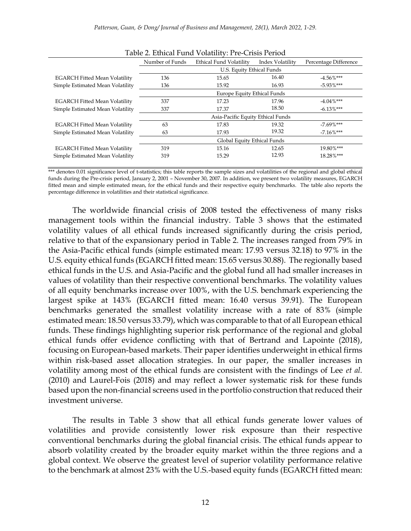|                                      | Number of Funds             | Ethical Fund Volatility           | Index Volatility | Percentage Difference |
|--------------------------------------|-----------------------------|-----------------------------------|------------------|-----------------------|
|                                      | U.S. Equity Ethical Funds   |                                   |                  |                       |
| <b>EGARCH Fitted Mean Volatility</b> | 136                         | 15.65                             | 16.40            | $-4.56\%$ ***         |
| Simple Estimated Mean Volatility     | 136                         | 15.92                             | 16.93            | $-5.93\%$ ***         |
|                                      | Europe Equity Ethical Funds |                                   |                  |                       |
| <b>EGARCH Fitted Mean Volatility</b> | 337                         | 17.23                             | 17.96            | $-4.04\%$ ***         |
| Simple Estimated Mean Volatility     | 337                         | 17.37                             | 18.50            | $-6.13\%$ ***         |
|                                      |                             | Asia-Pacific Equity Ethical Funds |                  |                       |
| <b>EGARCH Fitted Mean Volatility</b> | 63                          | 17.83                             | 19.32            | $-7.69\%$ ***         |
| Simple Estimated Mean Volatility     | 63                          | 17.93                             | 19.32            | $-7.16\%$ ***         |
|                                      |                             | Global Equity Ethical Funds       |                  |                       |
| <b>EGARCH Fitted Mean Volatility</b> | 319                         | 15.16                             | 12.65            | 19.80%***             |
| Simple Estimated Mean Volatility     | 319                         | 15.29                             | 12.93            | 18.28%***             |
|                                      |                             |                                   |                  |                       |

Table 2. Ethical Fund Volatility: Pre-Crisis Period

\*\*\* denotes 0.01 significance level of t-statistics; this table reports the sample sizes and volatilities of the regional and global ethical funds during the Pre-crisis period, January 2, 2001 – November 30, 2007. In addition, we present two volatility measures, EGARCH fitted mean and simple estimated mean, for the ethical funds and their respective equity benchmarks. The table also reports the percentage difference in volatilities and their statistical significance.

The worldwide financial crisis of 2008 tested the effectiveness of many risks management tools within the financial industry. Table 3 shows that the estimated volatility values of all ethical funds increased significantly during the crisis period, relative to that of the expansionary period in Table 2. The increases ranged from 79% in the Asia-Pacific ethical funds (simple estimated mean: 17.93 versus 32.18) to 97% in the U.S. equity ethical funds (EGARCH fitted mean: 15.65 versus 30.88). The regionally based ethical funds in the U.S. and Asia-Pacific and the global fund all had smaller increases in values of volatility than their respective conventional benchmarks. The volatility values of all equity benchmarks increase over 100%, with the U.S. benchmark experiencing the largest spike at 143% (EGARCH fitted mean: 16.40 versus 39.91). The European benchmarks generated the smallest volatility increase with a rate of 83% (simple estimated mean: 18.50 versus 33.79), which was comparable to that of all European ethical funds. These findings highlighting superior risk performance of the regional and global ethical funds offer evidence conflicting with that of Bertrand and Lapointe (2018), focusing on European-based markets. Their paper identifies underweight in ethical firms within risk-based asset allocation strategies. In our paper, the smaller increases in volatility among most of the ethical funds are consistent with the findings of Lee *et al.* (2010) and Laurel-Fois (2018) and may reflect a lower systematic risk for these funds based upon the non-financial screens used in the portfolio construction that reduced their investment universe.

The results in Table 3 show that all ethical funds generate lower values of volatilities and provide consistently lower risk exposure than their respective conventional benchmarks during the global financial crisis. The ethical funds appear to absorb volatility created by the broader equity market within the three regions and a global context. We observe the greatest level of superior volatility performance relative to the benchmark at almost 23% with the U.S.-based equity funds (EGARCH fitted mean: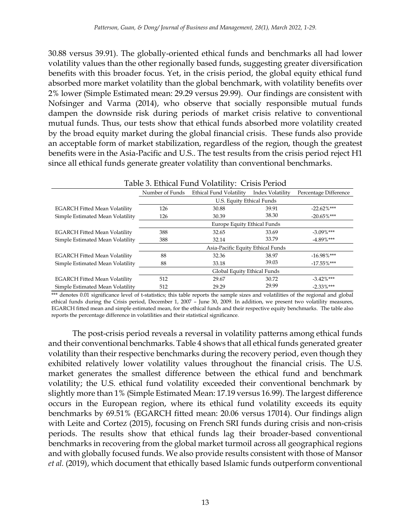30.88 versus 39.91). The globally-oriented ethical funds and benchmarks all had lower volatility values than the other regionally based funds, suggesting greater diversification benefits with this broader focus. Yet, in the crisis period, the global equity ethical fund absorbed more market volatility than the global benchmark, with volatility benefits over 2% lower (Simple Estimated mean: 29.29 versus 29.99). Our findings are consistent with Nofsinger and Varma (2014), who observe that socially responsible mutual funds dampen the downside risk during periods of market crisis relative to conventional mutual funds. Thus, our tests show that ethical funds absorbed more volatility created by the broad equity market during the global financial crisis. These funds also provide an acceptable form of market stabilization, regardless of the region, though the greatest benefits were in the Asia-Pacific and U.S.. The test results from the crisis period reject H1 since all ethical funds generate greater volatility than conventional benchmarks.

| Table 3. Ethical Fund Volatility: Crisis Period |                                   |                         |                  |                       |
|-------------------------------------------------|-----------------------------------|-------------------------|------------------|-----------------------|
|                                                 | Number of Funds                   | Ethical Fund Volatility | Index Volatility | Percentage Difference |
|                                                 | U.S. Equity Ethical Funds         |                         |                  |                       |
| <b>EGARCH Fitted Mean Volatility</b>            | 126                               | 30.88                   | 39.91            | $-22.62\%***$         |
| Simple Estimated Mean Volatility                | 126                               | 30.39                   | 38.30            | $-20.65\%$ ***        |
|                                                 | Europe Equity Ethical Funds       |                         |                  |                       |
| <b>EGARCH Fitted Mean Volatility</b>            | 388                               | 32.65                   | 33.69            | $-3.09\%$ ***         |
| Simple Estimated Mean Volatility                | 388                               | 32.14                   | 33.79            | $-4.89\%$ ***         |
|                                                 | Asia-Pacific Equity Ethical Funds |                         |                  |                       |
| <b>EGARCH Fitted Mean Volatility</b>            | 88                                | 32.36                   | 38.97            | $-16.98\%$ ***        |
| Simple Estimated Mean Volatility                | 88                                | 33.18                   | 39.03            | $-17.55\%$ ***        |
|                                                 | Global Equity Ethical Funds       |                         |                  |                       |
| <b>EGARCH Fitted Mean Volatility</b>            | 512                               | 29.67                   | 30.72            | $-3.42\%$ ***         |
| Simple Estimated Mean Volatility                | 512                               | 29.29                   | 29.99            | $-2.33\%$ ***         |

\*\*\* denotes 0.01 significance level of t-statistics; this table reports the sample sizes and volatilities of the regional and global ethical funds during the Crisis period, December 1, 2007 – June 30, 2009. In addition, we present two volatility measures, EGARCH fitted mean and simple estimated mean, for the ethical funds and their respective equity benchmarks. The table also reports the percentage difference in volatilities and their statistical significance.

The post-crisis period reveals a reversal in volatility patterns among ethical funds and their conventional benchmarks. Table 4 shows that all ethical funds generated greater volatility than their respective benchmarks during the recovery period, even though they exhibited relatively lower volatility values throughout the financial crisis. The U.S. market generates the smallest difference between the ethical fund and benchmark volatility; the U.S. ethical fund volatility exceeded their conventional benchmark by slightly more than 1% (Simple Estimated Mean: 17.19 versus 16.99). The largest difference occurs in the European region, where its ethical fund volatility exceeds its equity benchmarks by 69.51% (EGARCH fitted mean: 20.06 versus 17014). Our findings align with Leite and Cortez (2015), focusing on French SRI funds during crisis and non-crisis periods. The results show that ethical funds lag their broader-based conventional benchmarks in recovering from the global market turmoil across all geographical regions and with globally focused funds. We also provide results consistent with those of Mansor *et al.* (2019), which document that ethically based Islamic funds outperform conventional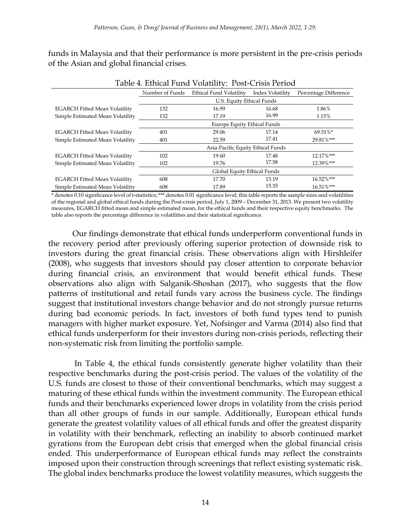funds in Malaysia and that their performance is more persistent in the pre-crisis periods of the Asian and global financial crises.

| Table 4. Ethical Fund Volatility: Post-Crisis Period |                           |                                    |                  |                       |
|------------------------------------------------------|---------------------------|------------------------------------|------------------|-----------------------|
|                                                      | Number of Funds           | Ethical Fund Volatility            | Index Volatility | Percentage Difference |
|                                                      | U.S. Equity Ethical Funds |                                    |                  |                       |
| <b>EGARCH Fitted Mean Volatility</b>                 | 132                       | 16.99                              | 16.68            | 1.86%                 |
| Simple Estimated Mean Volatility                     | 132                       | 17.19                              | 16.99            | 1.15%                 |
|                                                      |                           | <b>Europe Equity Ethical Funds</b> |                  |                       |
| <b>EGARCH Fitted Mean Volatility</b>                 | 401                       | 29.06                              | 17.14            | 69.51%*               |
| Simple Estimated Mean Volatility                     | 401                       | 22.59                              | 17.41            | 29.81%***             |
|                                                      |                           | Asia-Pacific Equity Ethical Funds  |                  |                       |
| <b>EGARCH Fitted Mean Volatility</b>                 | 102                       | 19.60                              | 17.48            | 12.17%***             |
| Simple Estimated Mean Volatility                     | 102                       | 19.76                              | 17.58            | 12.39%***             |
|                                                      |                           | Global Equity Ethical Funds        |                  |                       |
| <b>EGARCH Fitted Mean Volatility</b>                 | 608                       | 17.70                              | 15.19            | 16.52%***             |
| Simple Estimated Mean Volatility                     | 608                       | 17.89                              | 15.35            | 16.51%***             |

\* denotes 0.10 significance level of t-statistics; \*\*\* denotes 0.01 significance level; this table reports the sample sizes and volatilities of the regional and global ethical funds during the Post-crisis period, July 1, 2009 – December 31, 2013. We present two volatility measures, EGARCH fitted mean and simple estimated mean, for the ethical funds and their respective equity benchmarks. The table also reports the percentage difference in volatilities and their statistical significance.

Our findings demonstrate that ethical funds underperform conventional funds in the recovery period after previously offering superior protection of downside risk to investors during the great financial crisis. These observations align with Hirshleifer (2008), who suggests that investors should pay closer attention to corporate behavior during financial crisis, an environment that would benefit ethical funds. These observations also align with Salganik-Shoshan (2017), who suggests that the flow patterns of institutional and retail funds vary across the business cycle. The findings suggest that institutional investors change behavior and do not strongly pursue returns during bad economic periods. In fact, investors of both fund types tend to punish managers with higher market exposure. Yet, Nofsinger and Varma (2014) also find that ethical funds underperform for their investors during non-crisis periods, reflecting their non-systematic risk from limiting the portfolio sample.

In Table 4, the ethical funds consistently generate higher volatility than their respective benchmarks during the post-crisis period. The values of the volatility of the U.S. funds are closest to those of their conventional benchmarks, which may suggest a maturing of these ethical funds within the investment community. The European ethical funds and their benchmarks experienced lower drops in volatility from the crisis period than all other groups of funds in our sample. Additionally, European ethical funds generate the greatest volatility values of all ethical funds and offer the greatest disparity in volatility with their benchmark, reflecting an inability to absorb continued market gyrations from the European debt crisis that emerged when the global financial crisis ended. This underperformance of European ethical funds may reflect the constraints imposed upon their construction through screenings that reflect existing systematic risk. The global index benchmarks produce the lowest volatility measures, which suggests the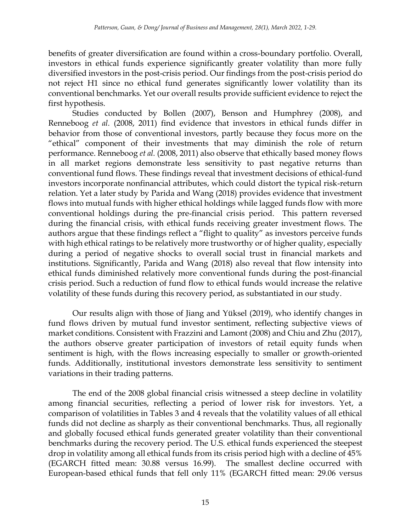benefits of greater diversification are found within a cross-boundary portfolio. Overall, investors in ethical funds experience significantly greater volatility than more fully diversified investors in the post-crisis period. Our findings from the post-crisis period do not reject H1 since no ethical fund generates significantly lower volatility than its conventional benchmarks. Yet our overall results provide sufficient evidence to reject the first hypothesis.

Studies conducted by Bollen (2007), Benson and Humphrey (2008), and Renneboog *et al.* (2008, 2011) find evidence that investors in ethical funds differ in behavior from those of conventional investors, partly because they focus more on the "ethical" component of their investments that may diminish the role of return performance. Renneboog *et al.* (2008, 2011) also observe that ethically based money flows in all market regions demonstrate less sensitivity to past negative returns than conventional fund flows. These findings reveal that investment decisions of ethical-fund investors incorporate nonfinancial attributes, which could distort the typical risk-return relation. Yet a later study by Parida and Wang (2018) provides evidence that investment flows into mutual funds with higher ethical holdings while lagged funds flow with more conventional holdings during the pre-financial crisis period. This pattern reversed during the financial crisis, with ethical funds receiving greater investment flows. The authors argue that these findings reflect a "flight to quality" as investors perceive funds with high ethical ratings to be relatively more trustworthy or of higher quality, especially during a period of negative shocks to overall social trust in financial markets and institutions. Significantly, Parida and Wang (2018) also reveal that flow intensity into ethical funds diminished relatively more conventional funds during the post-financial crisis period. Such a reduction of fund flow to ethical funds would increase the relative volatility of these funds during this recovery period, as substantiated in our study.

Our results align with those of Jiang and Yüksel (2019), who identify changes in fund flows driven by mutual fund investor sentiment, reflecting subjective views of market conditions. Consistent with Frazzini and Lamont (2008) and Chiu and Zhu (2017), the authors observe greater participation of investors of retail equity funds when sentiment is high, with the flows increasing especially to smaller or growth-oriented funds. Additionally, institutional investors demonstrate less sensitivity to sentiment variations in their trading patterns.

The end of the 2008 global financial crisis witnessed a steep decline in volatility among financial securities, reflecting a period of lower risk for investors. Yet, a comparison of volatilities in Tables 3 and 4 reveals that the volatility values of all ethical funds did not decline as sharply as their conventional benchmarks. Thus, all regionally and globally focused ethical funds generated greater volatility than their conventional benchmarks during the recovery period. The U.S. ethical funds experienced the steepest drop in volatility among all ethical funds from its crisis period high with a decline of 45% (EGARCH fitted mean: 30.88 versus 16.99). The smallest decline occurred with European-based ethical funds that fell only 11% (EGARCH fitted mean: 29.06 versus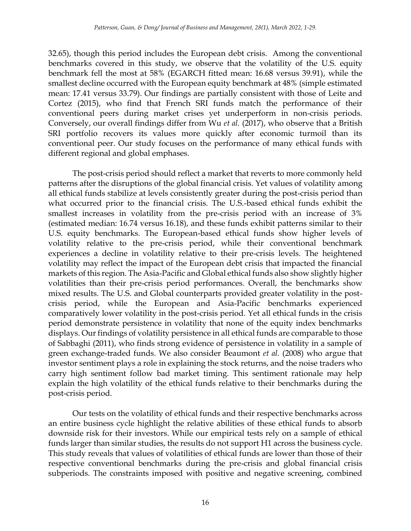32.65), though this period includes the European debt crisis. Among the conventional benchmarks covered in this study, we observe that the volatility of the U.S. equity benchmark fell the most at 58% (EGARCH fitted mean: 16.68 versus 39.91), while the smallest decline occurred with the European equity benchmark at 48% (simple estimated mean: 17.41 versus 33.79). Our findings are partially consistent with those of Leite and Cortez (2015), who find that French SRI funds match the performance of their conventional peers during market crises yet underperform in non-crisis periods. Conversely, our overall findings differ from Wu *et al.* (2017), who observe that a British SRI portfolio recovers its values more quickly after economic turmoil than its conventional peer. Our study focuses on the performance of many ethical funds with different regional and global emphases.

The post-crisis period should reflect a market that reverts to more commonly held patterns after the disruptions of the global financial crisis. Yet values of volatility among all ethical funds stabilize at levels consistently greater during the post-crisis period than what occurred prior to the financial crisis. The U.S.-based ethical funds exhibit the smallest increases in volatility from the pre-crisis period with an increase of 3% (estimated median: 16.74 versus 16.18), and these funds exhibit patterns similar to their U.S. equity benchmarks. The European-based ethical funds show higher levels of volatility relative to the pre-crisis period, while their conventional benchmark experiences a decline in volatility relative to their pre-crisis levels. The heightened volatility may reflect the impact of the European debt crisis that impacted the financial markets of this region. The Asia-Pacific and Global ethical funds also show slightly higher volatilities than their pre-crisis period performances. Overall, the benchmarks show mixed results. The U.S. and Global counterparts provided greater volatility in the postcrisis period, while the European and Asia-Pacific benchmarks experienced comparatively lower volatility in the post-crisis period. Yet all ethical funds in the crisis period demonstrate persistence in volatility that none of the equity index benchmarks displays. Our findings of volatility persistence in all ethical funds are comparable to those of Sabbaghi (2011), who finds strong evidence of persistence in volatility in a sample of green exchange-traded funds. We also consider Beaumont *et al.* (2008) who argue that investor sentiment plays a role in explaining the stock returns, and the noise traders who carry high sentiment follow bad market timing. This sentiment rationale may help explain the high volatility of the ethical funds relative to their benchmarks during the post-crisis period.

Our tests on the volatility of ethical funds and their respective benchmarks across an entire business cycle highlight the relative abilities of these ethical funds to absorb downside risk for their investors. While our empirical tests rely on a sample of ethical funds larger than similar studies, the results do not support H1 across the business cycle. This study reveals that values of volatilities of ethical funds are lower than those of their respective conventional benchmarks during the pre-crisis and global financial crisis subperiods. The constraints imposed with positive and negative screening, combined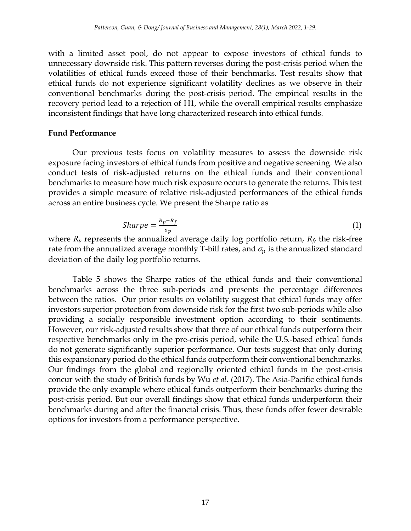with a limited asset pool, do not appear to expose investors of ethical funds to unnecessary downside risk. This pattern reverses during the post-crisis period when the volatilities of ethical funds exceed those of their benchmarks. Test results show that ethical funds do not experience significant volatility declines as we observe in their conventional benchmarks during the post-crisis period. The empirical results in the recovery period lead to a rejection of H1, while the overall empirical results emphasize inconsistent findings that have long characterized research into ethical funds.

#### **Fund Performance**

Our previous tests focus on volatility measures to assess the downside risk exposure facing investors of ethical funds from positive and negative screening. We also conduct tests of risk-adjusted returns on the ethical funds and their conventional benchmarks to measure how much risk exposure occurs to generate the returns. This test provides a simple measure of relative risk-adjusted performances of the ethical funds across an entire business cycle. We present the Sharpe ratio as

$$
Sharpe = \frac{R_p - R_f}{\sigma_p} \tag{1}
$$

where  $R_p$  represents the annualized average daily log portfolio return,  $R_f$ , the risk-free rate from the annualized average monthly T-bill rates, and  $\sigma_p$  is the annualized standard deviation of the daily log portfolio returns.

Table 5 shows the Sharpe ratios of the ethical funds and their conventional benchmarks across the three sub-periods and presents the percentage differences between the ratios. Our prior results on volatility suggest that ethical funds may offer investors superior protection from downside risk for the first two sub-periods while also providing a socially responsible investment option according to their sentiments. However, our risk-adjusted results show that three of our ethical funds outperform their respective benchmarks only in the pre-crisis period, while the U.S.-based ethical funds do not generate significantly superior performance. Our tests suggest that only during this expansionary period do the ethical funds outperform their conventional benchmarks. Our findings from the global and regionally oriented ethical funds in the post-crisis concur with the study of British funds by Wu *et al.* (2017). The Asia-Pacific ethical funds provide the only example where ethical funds outperform their benchmarks during the post-crisis period. But our overall findings show that ethical funds underperform their benchmarks during and after the financial crisis. Thus, these funds offer fewer desirable options for investors from a performance perspective.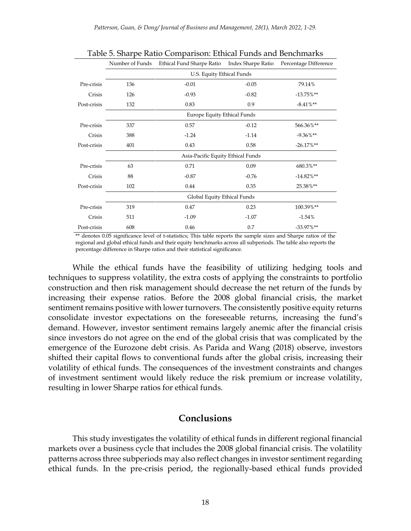|             | Number of Funds                   | Ethical Fund Sharpe Ratio          | Index Sharpe Ratio | Percentage Difference |  |  |
|-------------|-----------------------------------|------------------------------------|--------------------|-----------------------|--|--|
|             | U.S. Equity Ethical Funds         |                                    |                    |                       |  |  |
| Pre-crisis  | 136                               | $-0.01$                            | $-0.05$            | 79.14%                |  |  |
| Crisis      | 126                               | $-0.93$                            | $-0.82$            | $-13.75\%**$          |  |  |
| Post-crisis | 132                               | 0.83                               | 0.9                | $-8.41\%**$           |  |  |
|             |                                   | <b>Europe Equity Ethical Funds</b> |                    |                       |  |  |
| Pre-crisis  | 337                               | 0.57                               | $-0.12$            | 566.36%**             |  |  |
| Crisis      | 388                               | $-1.24$                            | $-1.14$            | $-9.36\%**$           |  |  |
| Post-crisis | 401                               | 0.43                               | 0.58               | $-26.17\%$ **         |  |  |
|             | Asia-Pacific Equity Ethical Funds |                                    |                    |                       |  |  |
| Pre-crisis  | 63                                | 0.71                               | 0.09               | 680.3%**              |  |  |
| Crisis      | 88                                | $-0.87$                            | $-0.76$            | $-14.82\%**$          |  |  |
| Post-crisis | 102                               | 0.44                               | 0.35               | 25.38%**              |  |  |
|             | Global Equity Ethical Funds       |                                    |                    |                       |  |  |
| Pre-crisis  | 319                               | 0.47                               | 0.23               | 100.39%**             |  |  |
| Crisis      | 511                               | $-1.09$                            | $-1.07$            | $-1.54%$              |  |  |
| Post-crisis | 608                               | 0.46                               | 0.7                | $-33.97\%**$          |  |  |

Table 5. Sharpe Ratio Comparison: Ethical Funds and Benchmarks

\*\* denotes 0.05 significance level of t-statistics; This table reports the sample sizes and Sharpe ratios of the regional and global ethical funds and their equity benchmarks across all subperiods. The table also reports the percentage difference in Sharpe ratios and their statistical significance.

While the ethical funds have the feasibility of utilizing hedging tools and techniques to suppress volatility, the extra costs of applying the constraints to portfolio construction and then risk management should decrease the net return of the funds by increasing their expense ratios. Before the 2008 global financial crisis, the market sentiment remains positive with lower turnovers. The consistently positive equity returns consolidate investor expectations on the foreseeable returns, increasing the fund's demand. However, investor sentiment remains largely anemic after the financial crisis since investors do not agree on the end of the global crisis that was complicated by the emergence of the Eurozone debt crisis. As Parida and Wang (2018) observe, investors shifted their capital flows to conventional funds after the global crisis, increasing their volatility of ethical funds. The consequences of the investment constraints and changes of investment sentiment would likely reduce the risk premium or increase volatility, resulting in lower Sharpe ratios for ethical funds.

#### **Conclusions**

This study investigates the volatility of ethical funds in different regional financial markets over a business cycle that includes the 2008 global financial crisis. The volatility patterns across three subperiods may also reflect changes in investor sentiment regarding ethical funds. In the pre-crisis period, the regionally-based ethical funds provided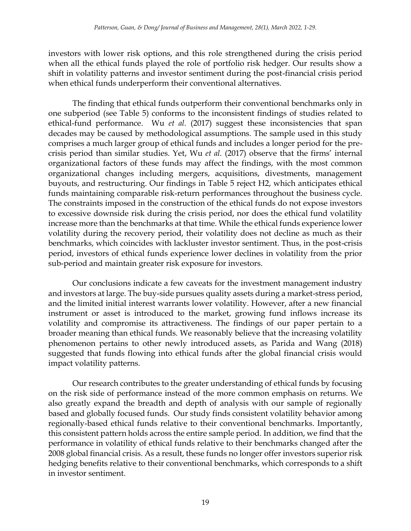investors with lower risk options, and this role strengthened during the crisis period when all the ethical funds played the role of portfolio risk hedger. Our results show a shift in volatility patterns and investor sentiment during the post-financial crisis period when ethical funds underperform their conventional alternatives.

The finding that ethical funds outperform their conventional benchmarks only in one subperiod (see Table 5) conforms to the inconsistent findings of studies related to ethical-fund performance. Wu *et al.* (2017) suggest these inconsistencies that span decades may be caused by methodological assumptions. The sample used in this study comprises a much larger group of ethical funds and includes a longer period for the precrisis period than similar studies. Yet, Wu *et al.* (2017) observe that the firms' internal organizational factors of these funds may affect the findings, with the most common organizational changes including mergers, acquisitions, divestments, management buyouts, and restructuring. Our findings in Table 5 reject H2, which anticipates ethical funds maintaining comparable risk-return performances throughout the business cycle. The constraints imposed in the construction of the ethical funds do not expose investors to excessive downside risk during the crisis period, nor does the ethical fund volatility increase more than the benchmarks at that time. While the ethical funds experience lower volatility during the recovery period, their volatility does not decline as much as their benchmarks, which coincides with lackluster investor sentiment. Thus, in the post-crisis period, investors of ethical funds experience lower declines in volatility from the prior sub-period and maintain greater risk exposure for investors.

Our conclusions indicate a few caveats for the investment management industry and investors at large. The buy-side pursues quality assets during a market-stress period, and the limited initial interest warrants lower volatility. However, after a new financial instrument or asset is introduced to the market, growing fund inflows increase its volatility and compromise its attractiveness. The findings of our paper pertain to a broader meaning than ethical funds. We reasonably believe that the increasing volatility phenomenon pertains to other newly introduced assets, as Parida and Wang (2018) suggested that funds flowing into ethical funds after the global financial crisis would impact volatility patterns.

Our research contributes to the greater understanding of ethical funds by focusing on the risk side of performance instead of the more common emphasis on returns. We also greatly expand the breadth and depth of analysis with our sample of regionally based and globally focused funds. Our study finds consistent volatility behavior among regionally-based ethical funds relative to their conventional benchmarks. Importantly, this consistent pattern holds across the entire sample period. In addition, we find that the performance in volatility of ethical funds relative to their benchmarks changed after the 2008 global financial crisis. As a result, these funds no longer offer investors superior risk hedging benefits relative to their conventional benchmarks, which corresponds to a shift in investor sentiment.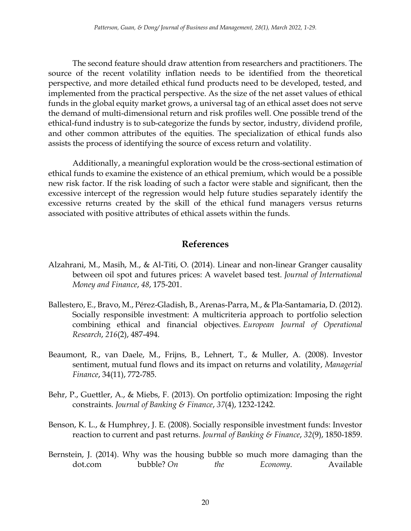The second feature should draw attention from researchers and practitioners. The source of the recent volatility inflation needs to be identified from the theoretical perspective, and more detailed ethical fund products need to be developed, tested, and implemented from the practical perspective. As the size of the net asset values of ethical funds in the global equity market grows, a universal tag of an ethical asset does not serve the demand of multi-dimensional return and risk profiles well. One possible trend of the ethical-fund industry is to sub-categorize the funds by sector, industry, dividend profile, and other common attributes of the equities. The specialization of ethical funds also assists the process of identifying the source of excess return and volatility.

Additionally, a meaningful exploration would be the cross-sectional estimation of ethical funds to examine the existence of an ethical premium, which would be a possible new risk factor. If the risk loading of such a factor were stable and significant, then the excessive intercept of the regression would help future studies separately identify the excessive returns created by the skill of the ethical fund managers versus returns associated with positive attributes of ethical assets within the funds.

#### **References**

- Alzahrani, M., Masih, M., & Al-Titi, O. (2014). Linear and non-linear Granger causality between oil spot and futures prices: A wavelet based test. *Journal of International Money and Finance*, *48*, 175-201.
- Ballestero, E., Bravo, M., Pérez-Gladish, B., Arenas-Parra, M., & Pla-Santamaria, D. (2012). Socially responsible investment: A multicriteria approach to portfolio selection combining ethical and financial objectives. *European Journal of Operational Research*, *216*(2), 487-494.
- Beaumont, R., van Daele, M., Frijns, B., Lehnert, T., & Muller, A. (2008). Investor sentiment, mutual fund flows and its impact on returns and volatility, *Managerial Finance*, 34(11), 772-785.
- Behr, P., Guettler, A., & Miebs, F. (2013). On portfolio optimization: Imposing the right constraints. *Journal of Banking & Finance*, *37*(4), 1232-1242.
- Benson, K. L., & Humphrey, J. E. (2008). Socially responsible investment funds: Investor reaction to current and past returns. *Journal of Banking & Finance*, *32*(9), 1850-1859.
- Bernstein, J. (2014). Why was the housing bubble so much more damaging than the dot.com bubble? *On the Economy*. Available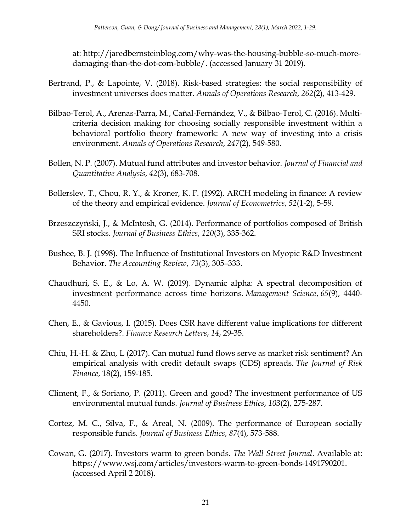at: http://jaredbernsteinblog.com/why-was-the-housing-bubble-so-much-moredamaging-than-the-dot-com-bubble/. (accessed January 31 2019).

- Bertrand, P., & Lapointe, V. (2018). Risk-based strategies: the social responsibility of investment universes does matter. *Annals of Operations Research*, *262*(2), 413-429.
- Bilbao-Terol, A., Arenas-Parra, M., Cañal-Fernández, V., & Bilbao-Terol, C. (2016). Multicriteria decision making for choosing socially responsible investment within a behavioral portfolio theory framework: A new way of investing into a crisis environment. *Annals of Operations Research*, *247*(2), 549-580.
- Bollen, N. P. (2007). Mutual fund attributes and investor behavior. *Journal of Financial and Quantitative Analysis*, *42*(3), 683-708.
- Bollerslev, T., Chou, R. Y., & Kroner, K. F. (1992). ARCH modeling in finance: A review of the theory and empirical evidence. *Journal of Econometrics*, *52*(1-2), 5-59.
- Brzeszczyński, J., & McIntosh, G. (2014). Performance of portfolios composed of British SRI stocks. *Journal of Business Ethics*, *120*(3), 335-362.
- Bushee, B. J. (1998). The Influence of Institutional Investors on Myopic R&D Investment Behavior. *The Accounting Review*, *73*(3), 305–333.
- Chaudhuri, S. E., & Lo, A. W. (2019). Dynamic alpha: A spectral decomposition of investment performance across time horizons. *Management Science*, *65*(9), 4440- 4450.
- Chen, E., & Gavious, I. (2015). Does CSR have different value implications for different shareholders?. *Finance Research Letters*, *14*, 29-35.
- Chiu, H.-H. & Zhu, L (2017). Can mutual fund flows serve as market risk sentiment? An empirical analysis with credit default swaps (CDS) spreads. *The Journal of Risk Finance*, 18(2), 159-185.
- Climent, F., & Soriano, P. (2011). Green and good? The investment performance of US environmental mutual funds. *Journal of Business Ethics*, *103*(2), 275-287.
- Cortez, M. C., Silva, F., & Areal, N. (2009). The performance of European socially responsible funds. *Journal of Business Ethics*, *87*(4), 573-588.
- Cowan, G. (2017). Investors warm to green bonds. *The Wall Street Journal*. Available at: https://www.wsj.com/articles/investors-warm-to-green-bonds-1491790201. (accessed April 2 2018).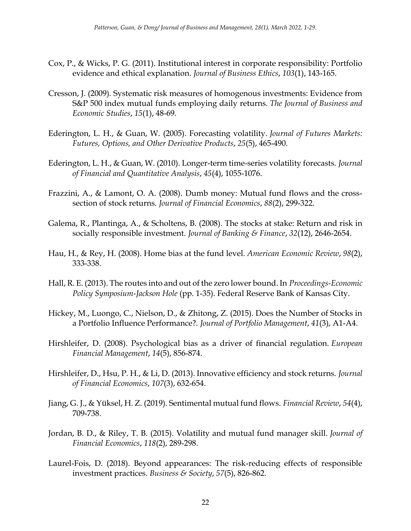- Cox, P., & Wicks, P. G. (2011). Institutional interest in corporate responsibility: Portfolio evidence and ethical explanation. *Journal of Business Ethics*, *103*(1), 143-165.
- Cresson, J. (2009). Systematic risk measures of homogenous investments: Evidence from S&P 500 index mutual funds employing daily returns. *The Journal of Business and Economic Studies*, *15*(1), 48-69.
- Ederington, L. H., & Guan, W. (2005). Forecasting volatility. *Journal of Futures Markets: Futures, Options, and Other Derivative Products*, *25*(5), 465-490.
- Ederington, L. H., & Guan, W. (2010). Longer-term time-series volatility forecasts. *Journal of Financial and Quantitative Analysis*, *45*(4), 1055-1076.
- Frazzini, A., & Lamont, O. A. (2008). Dumb money: Mutual fund flows and the crosssection of stock returns. *Journal of Financial Economics*, *88*(2), 299-322.
- Galema, R., Plantinga, A., & Scholtens, B. (2008). The stocks at stake: Return and risk in socially responsible investment. *Journal of Banking & Finance*, *32*(12), 2646-2654.
- Hau, H., & Rey, H. (2008). Home bias at the fund level. *American Economic Review*, *98*(2), 333-338.
- Hall, R. E. (2013). The routes into and out of the zero lower bound. In *Proceedings-Economic Policy Symposium-Jackson Hole* (pp. 1-35). Federal Reserve Bank of Kansas City.
- Hickey, M., Luongo, C., Nielson, D., & Zhitong, Z. (2015). Does the Number of Stocks in a Portfolio Influence Performance?. *Journal of Portfolio Management*, *41*(3), A1-A4.
- Hirshleifer, D. (2008). Psychological bias as a driver of financial regulation. *European Financial Management*, *14*(5), 856-874.
- Hirshleifer, D., Hsu, P. H., & Li, D. (2013). Innovative efficiency and stock returns. *Journal of Financial Economics*, *107*(3), 632-654.
- Jiang, G. J., & Yüksel, H. Z. (2019). Sentimental mutual fund flows. *Financial Review*, *54*(4), 709-738.
- Jordan, B. D., & Riley, T. B. (2015). Volatility and mutual fund manager skill. *Journal of Financial Economics*, *118*(2), 289-298.
- Laurel-Fois, D. (2018). Beyond appearances: The risk-reducing effects of responsible investment practices. *Business & Society*, *57*(5), 826-862.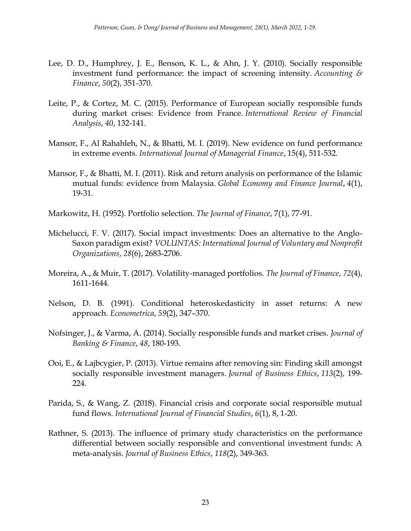- Lee, D. D., Humphrey, J. E., Benson, K. L., & Ahn, J. Y. (2010). Socially responsible investment fund performance: the impact of screening intensity. *Accounting & Finance*, *50*(2), 351-370.
- Leite, P., & Cortez, M. C. (2015). Performance of European socially responsible funds during market crises: Evidence from France. *International Review of Financial Analysis*, *40*, 132-141.
- Mansor, F., Al Rahahleh, N., & Bhatti, M. I. (2019). New evidence on fund performance in extreme events. *International Journal of Managerial Finance*, 15(4), 511-532.
- Mansor, F., & Bhatti, M. I. (2011). Risk and return analysis on performance of the Islamic mutual funds: evidence from Malaysia. *Global Economy and Finance Journal*, *4*(1), 19-31.
- Markowitz, H. (1952). Portfolio selection. *The Journal of Finance*, 7(1), 77-91.
- Michelucci, F. V. (2017). Social impact investments: Does an alternative to the Anglo-Saxon paradigm exist? *VOLUNTAS: International Journal of Voluntary and Nonprofit Organizations*, *28*(6), 2683-2706.
- Moreira, A., & Muir, T. (2017). Volatility‐managed portfolios. *The Journal of Finance*, *72*(4), 1611-1644.
- Nelson, D. B. (1991). Conditional heteroskedasticity in asset returns: A new approach. *Econometrica*, *59*(2), 347–370.
- Nofsinger, J., & Varma, A. (2014). Socially responsible funds and market crises. *Journal of Banking & Finance*, *48*, 180-193.
- Ooi, E., & Lajbcygier, P. (2013). Virtue remains after removing sin: Finding skill amongst socially responsible investment managers. *Journal of Business Ethics*, *113*(2), 199- 224.
- Parida, S., & Wang, Z. (2018). Financial crisis and corporate social responsible mutual fund flows. *International Journal of Financial Studies*, *6*(1), 8, 1-20.
- Rathner, S. (2013). The influence of primary study characteristics on the performance differential between socially responsible and conventional investment funds: A meta-analysis. *Journal of Business Ethics*, *118*(2), 349-363.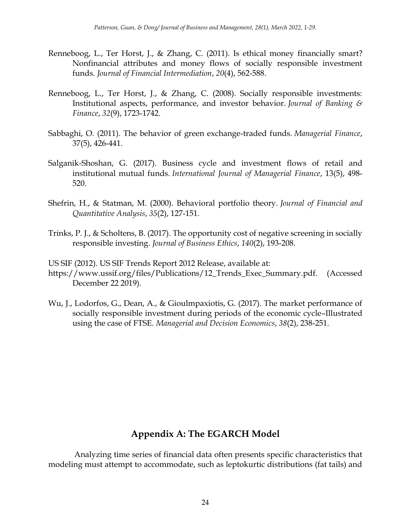- Renneboog, L., Ter Horst, J., & Zhang, C. (2011). Is ethical money financially smart? Nonfinancial attributes and money flows of socially responsible investment funds. *Journal of Financial Intermediation*, *20*(4), 562-588.
- Renneboog, L., Ter Horst, J., & Zhang, C. (2008). Socially responsible investments: Institutional aspects, performance, and investor behavior. *Journal of Banking & Finance*, *32*(9), 1723-1742.
- Sabbaghi, O. (2011). The behavior of green exchange‐traded funds. *Managerial Finance*, 37(5), 426-441.
- Salganik-Shoshan, G. (2017). Business cycle and investment flows of retail and institutional mutual funds. *International Journal of Managerial Finance*, 13(5), 498- 520.
- Shefrin, H., & Statman, M. (2000). Behavioral portfolio theory. *Journal of Financial and Quantitative Analysis*, *35*(2), 127-151.
- Trinks, P. J., & Scholtens, B. (2017). The opportunity cost of negative screening in socially responsible investing. *Journal of Business Ethics*, *140*(2), 193-208.

US SIF (2012). US SIF Trends Report 2012 Release, available at:

- https://www.ussif.org/files/Publications/12\_Trends\_Exec\_Summary.pdf. (Accessed December 22 2019).
- Wu, J., Lodorfos, G., Dean, A., & Gioulmpaxiotis, G. (2017). The market performance of socially responsible investment during periods of the economic cycle–Illustrated using the case of FTSE. *Managerial and Decision Economics*, *38*(2), 238-251.

## **Appendix A: The EGARCH Model**

Analyzing time series of financial data often presents specific characteristics that modeling must attempt to accommodate, such as leptokurtic distributions (fat tails) and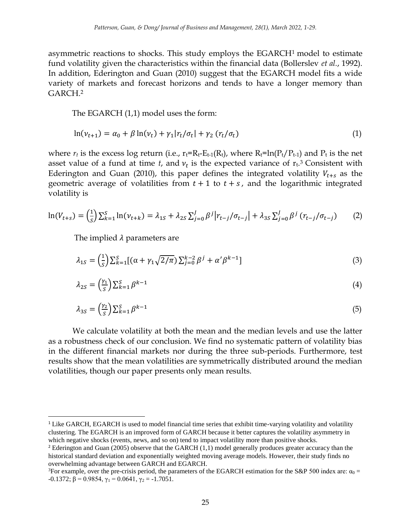asymmetric reactions to shocks. This study employs the EGARCH<sup>1</sup> model to estimate fund volatility given the characteristics within the financial data (Bollerslev *et al.*, 1992). In addition, Ederington and Guan (2010) suggest that the EGARCH model fits a wide variety of markets and forecast horizons and tends to have a longer memory than GARCH.<sup>2</sup>

The EGARCH (1,1) model uses the form:

$$
\ln(\nu_{t+1}) = \alpha_0 + \beta \ln(\nu_t) + \gamma_1 |r_t/\sigma_t| + \gamma_2 (r_t/\sigma_t)
$$
\n
$$
\tag{1}
$$

where  $r_t$  is the excess log return (i.e.,  $r_t = R_t - E_{t-1}(R_t)$ , where  $R_t = \ln(P_t/P_{t-1})$  and  $P_t$  is the net asset value of a fund at time  $t$ , and  $v_t$  is the expected variance of  $r_t$ .<sup>3</sup> Consistent with Ederington and Guan (2010), this paper defines the integrated volatility  $V_{t+s}$  as the geometric average of volatilities from  $t + 1$  to  $t + s$ , and the logarithmic integrated volatility is

$$
\ln(V_{t+s}) = \left(\frac{1}{s}\right) \sum_{k=1}^{S} \ln(\nu_{t+k}) = \lambda_{1S} + \lambda_{2S} \sum_{j=0}^{J} \beta^j \left| r_{t-j} / \sigma_{t-j} \right| + \lambda_{3S} \sum_{j=0}^{J} \beta^j \left( r_{t-j} / \sigma_{t-j} \right) \tag{2}
$$

The implied  $\lambda$  parameters are

 $\overline{\phantom{a}}$ 

$$
\lambda_{1S} = \left(\frac{1}{S}\right) \sum_{k=1}^{S} \left[ (\alpha + \gamma_1 \sqrt{2/\pi}) \sum_{j=0}^{k-2} \beta^j + \alpha' \beta^{k-1} \right] \tag{3}
$$

$$
\lambda_{2S} = \left(\frac{\gamma_1}{S}\right) \sum_{k=1}^{S} \beta^{k-1} \tag{4}
$$

$$
\lambda_{3S} = \left(\frac{\gamma_2}{S}\right) \sum_{k=1}^{S} \beta^{k-1} \tag{5}
$$

We calculate volatility at both the mean and the median levels and use the latter as a robustness check of our conclusion. We find no systematic pattern of volatility bias in the different financial markets nor during the three sub-periods. Furthermore, test results show that the mean volatilities are symmetrically distributed around the median volatilities, though our paper presents only mean results.

<sup>1</sup> Like GARCH, EGARCH is used to model financial time series that exhibit time-varying volatility and volatility clustering. The EGARCH is an improved form of GARCH because it better captures the volatility asymmetry in which negative shocks (events, news, and so on) tend to impact volatility more than positive shocks.

<sup>&</sup>lt;sup>2</sup> Ederington and Guan (2005) observe that the GARCH  $(1,1)$  model generally produces greater accuracy than the historical standard deviation and exponentially weighted moving average models. However, their study finds no overwhelming advantage between GARCH and EGARCH.

<sup>&</sup>lt;sup>3</sup>For example, over the pre-crisis period, the parameters of the EGARCH estimation for the S&P 500 index are:  $\alpha_0$  =  $-0.1372$ ;  $\beta = 0.9854$ ,  $\gamma_1 = 0.0641$ ,  $\gamma_2 = -1.7051$ .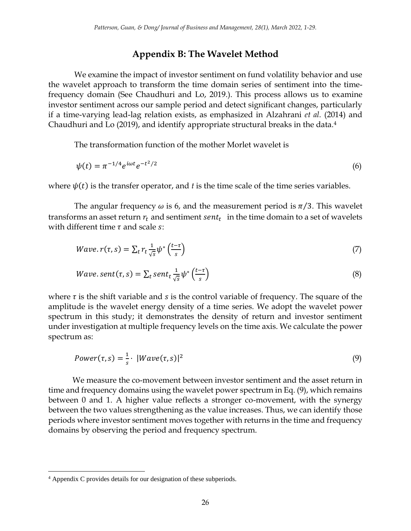#### **Appendix B: The Wavelet Method**

We examine the impact of investor sentiment on fund volatility behavior and use the wavelet approach to transform the time domain series of sentiment into the timefrequency domain (See Chaudhuri and Lo, 2019.). This process allows us to examine investor sentiment across our sample period and detect significant changes, particularly if a time-varying lead-lag relation exists, as emphasized in Alzahrani *et al.* (2014) and Chaudhuri and Lo (2019), and identify appropriate structural breaks in the data.<sup>4</sup>

The transformation function of the mother Morlet wavelet is

$$
\psi(t) = \pi^{-1/4} e^{i\omega t} e^{-t^2/2}
$$
\n(6)

where  $\psi(t)$  is the transfer operator, and *t* is the time scale of the time series variables.

The angular frequency  $\omega$  is 6, and the measurement period is  $\pi/3$ . This wavelet transforms an asset return  $r_t$  and sentiment  $sent_t$  in the time domain to a set of wavelets with different time  $\tau$  and scale s:

$$
Wave. r(\tau, s) = \sum_{t} r_t \frac{1}{\sqrt{s}} \psi^* \left( \frac{t - \tau}{s} \right)
$$
 (7)

*Wave.sent*(
$$
\tau
$$
, $s$ ) =  $\sum_{t} sent_t \frac{1}{\sqrt{s}} \psi^* \left(\frac{t-\tau}{s}\right)$  (8)

where  $\tau$  is the shift variable and  $s$  is the control variable of frequency. The square of the amplitude is the wavelet energy density of a time series. We adopt the wavelet power spectrum in this study; it demonstrates the density of return and investor sentiment under investigation at multiple frequency levels on the time axis. We calculate the power spectrum as:

$$
Power(\tau, s) = \frac{1}{s} \cdot |Wave(\tau, s)|^2
$$
\n(9)

We measure the co-movement between investor sentiment and the asset return in time and frequency domains using the wavelet power spectrum in Eq. (9), which remains between 0 and 1. A higher value reflects a stronger co-movement, with the synergy between the two values strengthening as the value increases. Thus, we can identify those periods where investor sentiment moves together with returns in the time and frequency domains by observing the period and frequency spectrum.

 $\overline{\phantom{a}}$ 

<sup>4</sup> Appendix C provides details for our designation of these subperiods.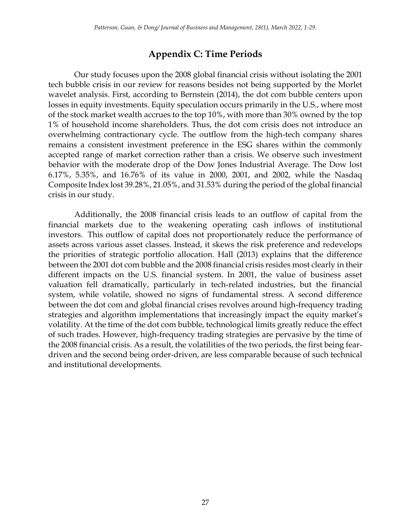# **Appendix C: Time Periods**

Our study focuses upon the 2008 global financial crisis without isolating the 2001 tech bubble crisis in our review for reasons besides not being supported by the Morlet wavelet analysis. First, according to Bernstein (2014), the dot com bubble centers upon losses in equity investments. Equity speculation occurs primarily in the U.S., where most of the stock market wealth accrues to the top 10%, with more than 30% owned by the top 1% of household income shareholders. Thus, the dot com crisis does not introduce an overwhelming contractionary cycle. The outflow from the high-tech company shares remains a consistent investment preference in the ESG shares within the commonly accepted range of market correction rather than a crisis. We observe such investment behavior with the moderate drop of the Dow Jones Industrial Average. The Dow lost 6.17%, 5.35%, and 16.76% of its value in 2000, 2001, and 2002, while the Nasdaq Composite Index lost 39.28%, 21.05%, and 31.53% during the period of the global financial crisis in our study.

Additionally, the 2008 financial crisis leads to an outflow of capital from the financial markets due to the weakening operating cash inflows of institutional investors. This outflow of capital does not proportionately reduce the performance of assets across various asset classes. Instead, it skews the risk preference and redevelops the priorities of strategic portfolio allocation. Hall (2013) explains that the difference between the 2001 dot com bubble and the 2008 financial crisis resides most clearly in their different impacts on the U.S. financial system. In 2001, the value of business asset valuation fell dramatically, particularly in tech-related industries, but the financial system, while volatile, showed no signs of fundamental stress. A second difference between the dot com and global financial crises revolves around high-frequency trading strategies and algorithm implementations that increasingly impact the equity market's volatility. At the time of the dot com bubble, technological limits greatly reduce the effect of such trades. However, high-frequency trading strategies are pervasive by the time of the 2008 financial crisis. As a result, the volatilities of the two periods, the first being feardriven and the second being order-driven, are less comparable because of such technical and institutional developments.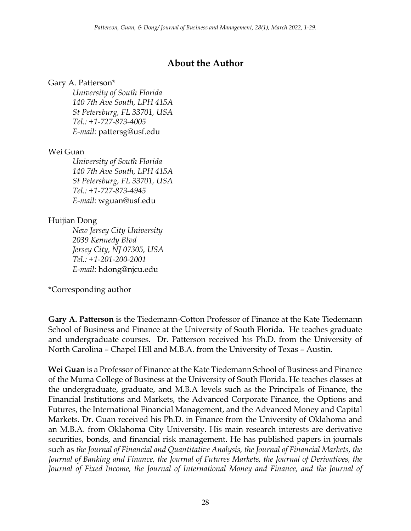# **About the Author**

#### Gary A. Patterson\*

*University of South Florida 140 7th Ave South, LPH 415A St Petersburg, FL 33701, USA Tel.: +1-727-873-4005 E-mail:* pattersg@usf.edu

#### Wei Guan

*University of South Florida 140 7th Ave South, LPH 415A St Petersburg, FL 33701, USA Tel.: +1-727-873-4945 E-mail:* wguan@usf.edu

#### Huijian Dong

*New Jersey City University 2039 Kennedy Blvd Jersey City, NJ 07305, USA Tel.: +1-201-200-2001 E-mail:* hdong@njcu.edu

\*Corresponding author

**Gary A. Patterson** is the Tiedemann-Cotton Professor of Finance at the Kate Tiedemann School of Business and Finance at the University of South Florida. He teaches graduate and undergraduate courses. Dr. Patterson received his Ph.D. from the University of North Carolina – Chapel Hill and M.B.A. from the University of Texas – Austin.

**Wei Guan** is a Professor of Finance at the Kate Tiedemann School of Business and Finance of the Muma College of Business at the University of South Florida. He teaches classes at the undergraduate, graduate, and M.B.A levels such as the Principals of Finance, the Financial Institutions and Markets, the Advanced Corporate Finance, the Options and Futures, the International Financial Management, and the Advanced Money and Capital Markets. Dr. Guan received his Ph.D. in Finance from the University of Oklahoma and an M.B.A. from Oklahoma City University. His main research interests are derivative securities, bonds, and financial risk management. He has published papers in journals such as *the Journal of Financial and Quantitative Analysis, the Journal of Financial Markets, the Journal of Banking and Finance, the Journal of Futures Markets, the Journal of Derivatives, the Journal of Fixed Income, the Journal of International Money and Finance, and the Journal of*